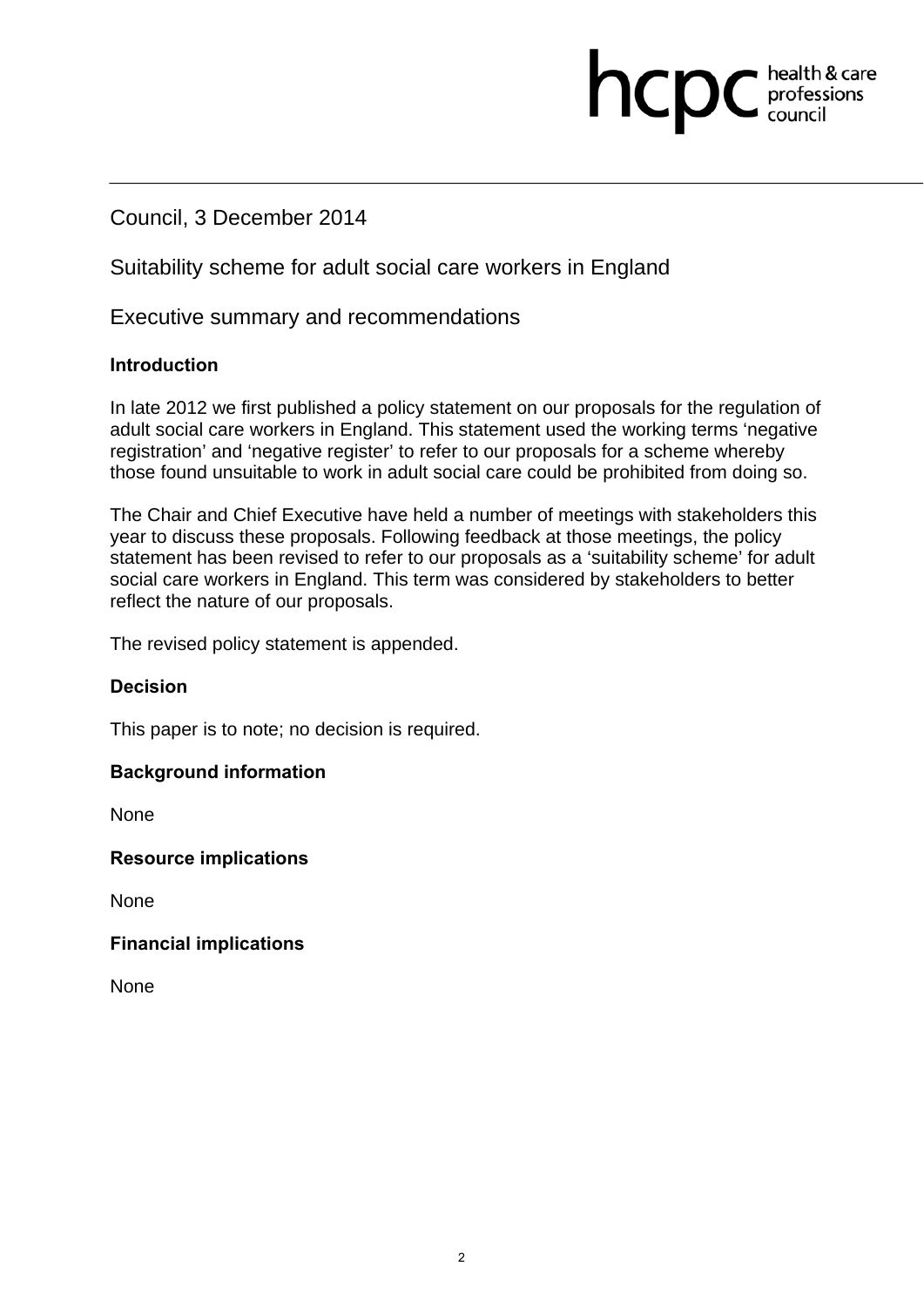# Council, 3 December 2014

# Suitability scheme for adult social care workers in England

# Executive summary and recommendations

#### **Introduction**

In late 2012 we first published a policy statement on our proposals for the regulation of adult social care workers in England. This statement used the working terms 'negative registration' and 'negative register' to refer to our proposals for a scheme whereby those found unsuitable to work in adult social care could be prohibited from doing so.

hcpc

health & care professions<br>council

The Chair and Chief Executive have held a number of meetings with stakeholders this year to discuss these proposals. Following feedback at those meetings, the policy statement has been revised to refer to our proposals as a 'suitability scheme' for adult social care workers in England. This term was considered by stakeholders to better reflect the nature of our proposals.

The revised policy statement is appended.

#### **Decision**

This paper is to note; no decision is required.

#### **Background information**

None

**Resource implications** 

None

#### **Financial implications**

None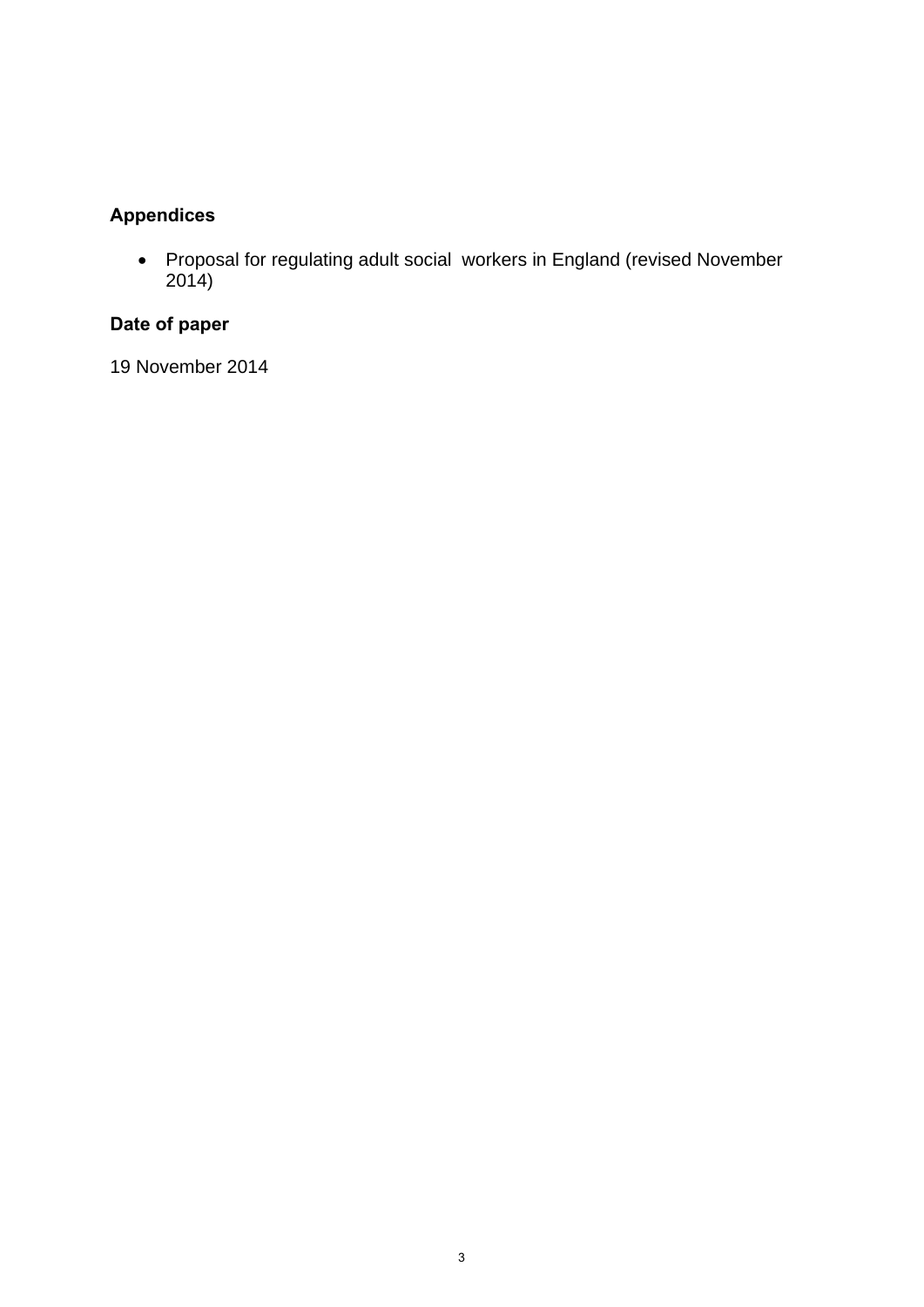# **Appendices**

 Proposal for regulating adult social workers in England (revised November 2014)

# **Date of paper**

19 November 2014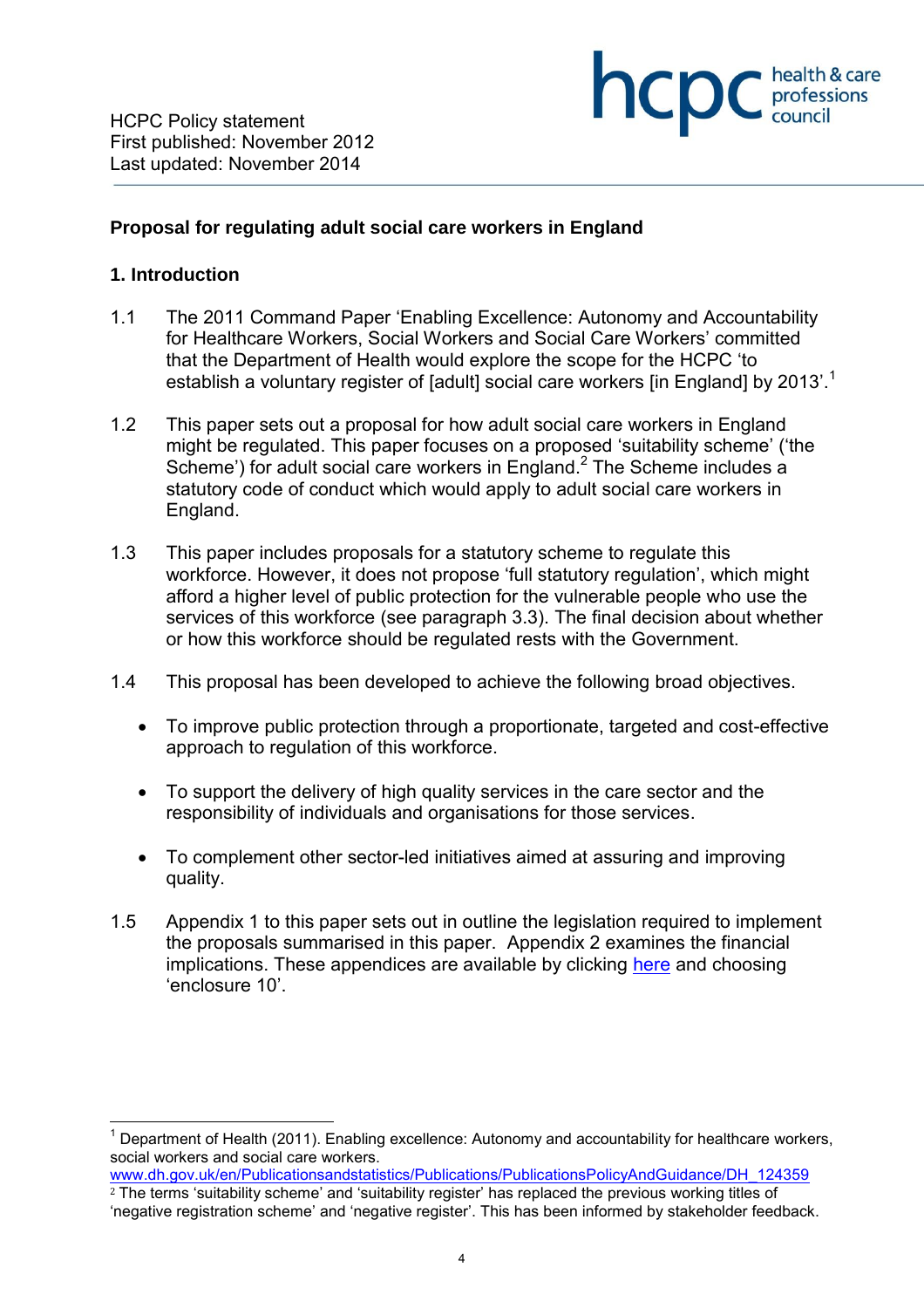

#### **Proposal for regulating adult social care workers in England**

#### **1. Introduction**

 $\overline{a}$ 

- 1.1 The 2011 Command Paper 'Enabling Excellence: Autonomy and Accountability for Healthcare Workers, Social Workers and Social Care Workers' committed that the Department of Health would explore the scope for the HCPC 'to establish a voluntary register of [adult] social care workers [in England] by 2013'.<sup>1</sup>
- 1.2 This paper sets out a proposal for how adult social care workers in England might be regulated. This paper focuses on a proposed 'suitability scheme' ('the Scheme') for adult social care workers in England. $^2$  The Scheme includes a statutory code of conduct which would apply to adult social care workers in England.
- 1.3 This paper includes proposals for a statutory scheme to regulate this workforce. However, it does not propose 'full statutory regulation', which might afford a higher level of public protection for the vulnerable people who use the services of this workforce (see paragraph 3.3). The final decision about whether or how this workforce should be regulated rests with the Government.
- 1.4 This proposal has been developed to achieve the following broad objectives.
	- To improve public protection through a proportionate, targeted and cost-effective approach to regulation of this workforce.
	- To support the delivery of high quality services in the care sector and the responsibility of individuals and organisations for those services.
	- To complement other sector-led initiatives aimed at assuring and improving quality.
- 1.5 Appendix 1 to this paper sets out in outline the legislation required to implement the proposals summarised in this paper. Appendix 2 examines the financial implications. These appendices are available by clicking here and choosing 'enclosure 10'.

<sup>&</sup>lt;sup>1</sup> Department of Health (2011). Enabling excellence: Autonomy and accountability for healthcare workers, social workers and social care workers.

www.dh.gov.uk/en/Publicationsandstatistics/Publications/PublicationsPolicyAndGuidance/DH\_124359 <sup>2</sup> The terms 'suitability scheme' and 'suitability register' has replaced the previous working titles of 'negative registration scheme' and 'negative register'. This has been informed by stakeholder feedback.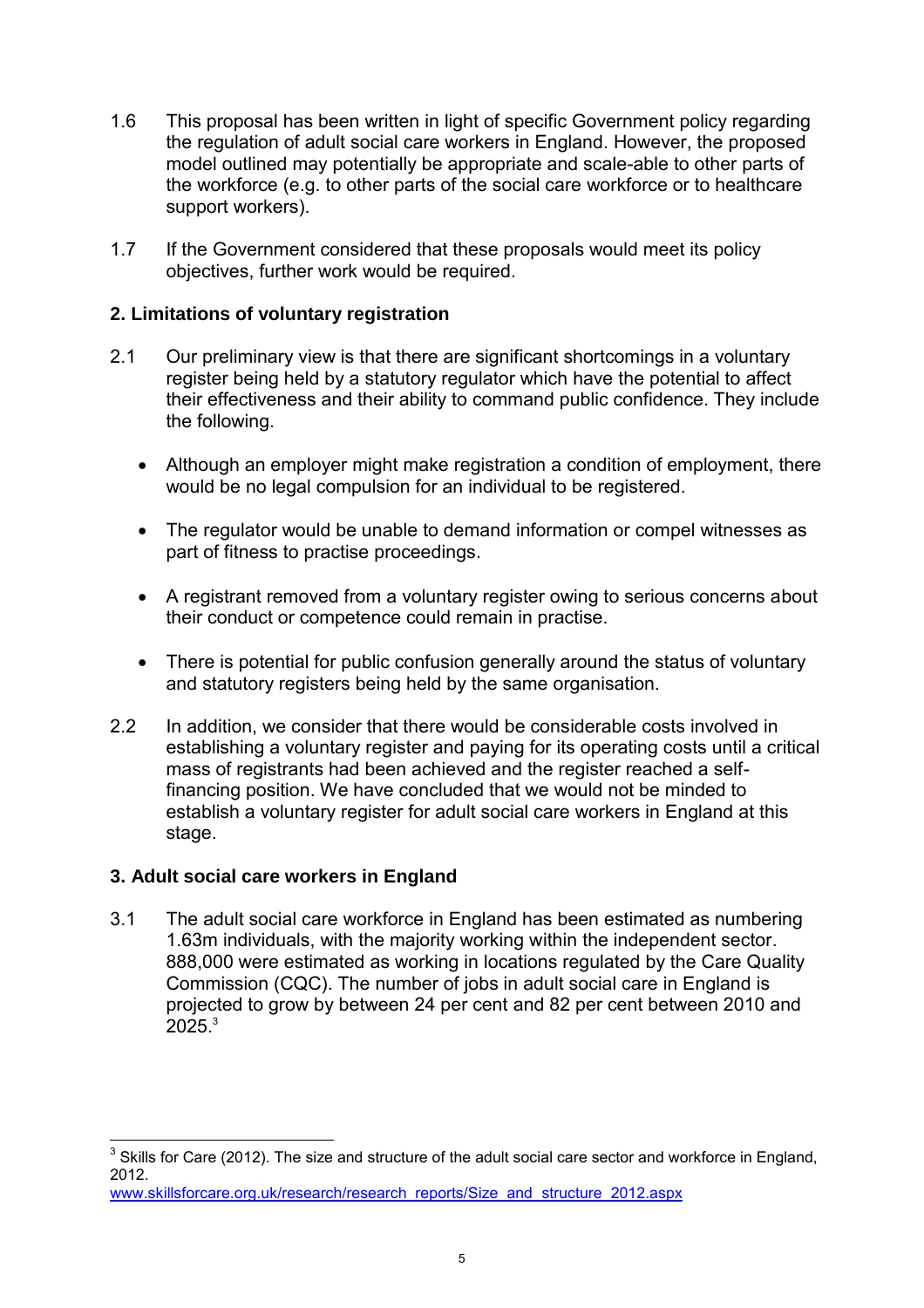- 1.6 This proposal has been written in light of specific Government policy regarding the regulation of adult social care workers in England. However, the proposed model outlined may potentially be appropriate and scale-able to other parts of the workforce (e.g. to other parts of the social care workforce or to healthcare support workers).
- 1.7 If the Government considered that these proposals would meet its policy objectives, further work would be required.

# **2. Limitations of voluntary registration**

- 2.1 Our preliminary view is that there are significant shortcomings in a voluntary register being held by a statutory regulator which have the potential to affect their effectiveness and their ability to command public confidence. They include the following.
	- Although an employer might make registration a condition of employment, there would be no legal compulsion for an individual to be registered.
	- The regulator would be unable to demand information or compel witnesses as part of fitness to practise proceedings.
	- A registrant removed from a voluntary register owing to serious concerns about their conduct or competence could remain in practise.
	- There is potential for public confusion generally around the status of voluntary and statutory registers being held by the same organisation.
- 2.2 In addition, we consider that there would be considerable costs involved in establishing a voluntary register and paying for its operating costs until a critical mass of registrants had been achieved and the register reached a self financing position. We have concluded that we would not be minded to establish a voluntary register for adult social care workers in England at this stage.

# **3. Adult social care workers in England**

3.1 The adult social care workforce in England has been estimated as numbering 1.63m individuals, with the majority working within the independent sector. 888,000 were estimated as working in locations regulated by the Care Quality Commission (CQC). The number of jobs in adult social care in England is projected to grow by between 24 per cent and 82 per cent between 2010 and  $2025.<sup>3</sup>$ 

 3 Skills for Care (2012). The size and structure of the adult social care sector and workforce in England, 2012.

www.skillsforcare.org.uk/research/research\_reports/Size\_and\_structure\_2012.aspx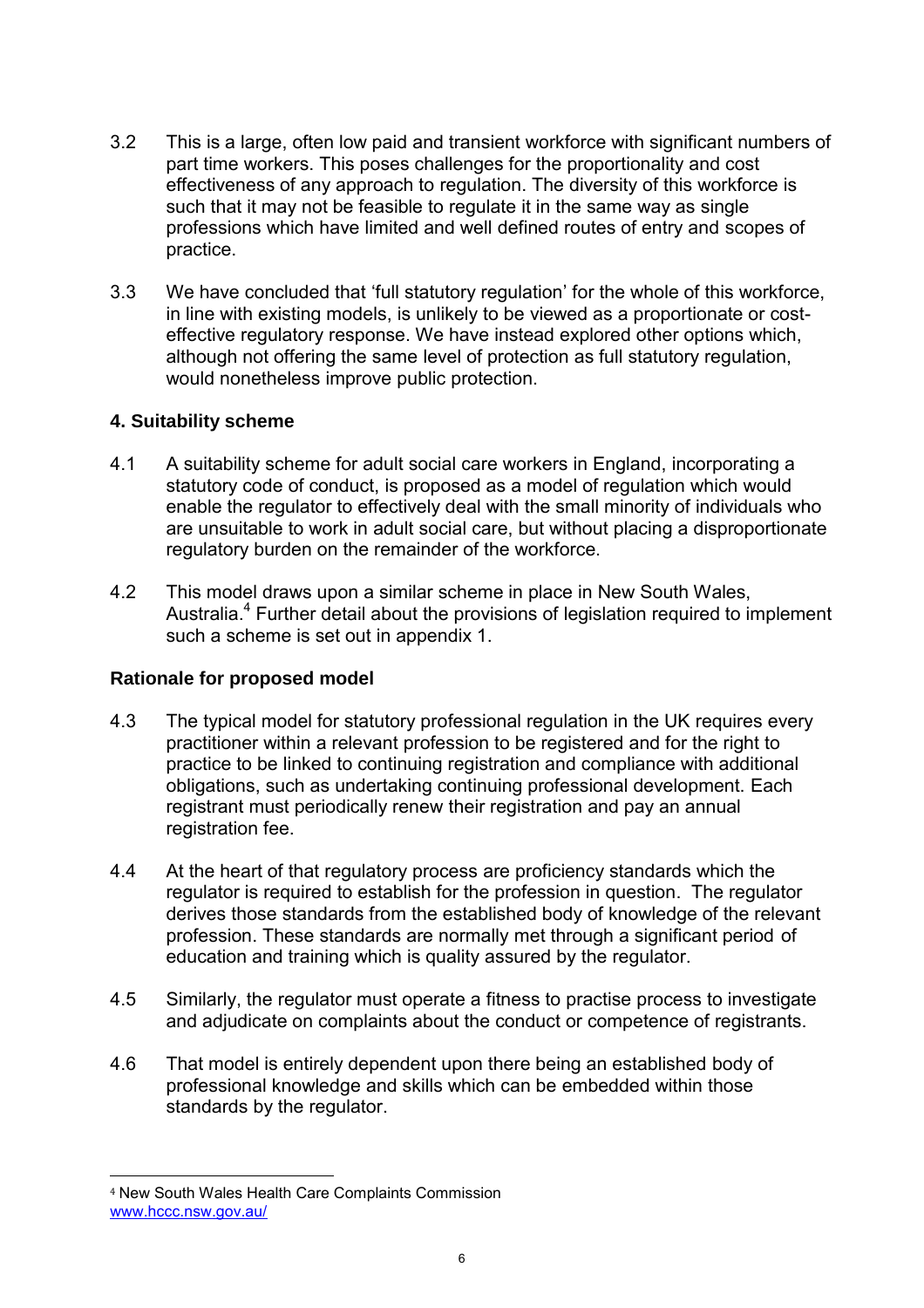- 3.2 This is a large, often low paid and transient workforce with significant numbers of part time workers. This poses challenges for the proportionality and cost effectiveness of any approach to regulation. The diversity of this workforce is such that it may not be feasible to regulate it in the same way as single professions which have limited and well defined routes of entry and scopes of practice.
- 3.3 We have concluded that 'full statutory regulation' for the whole of this workforce, in line with existing models, is unlikely to be viewed as a proportionate or cost effective regulatory response. We have instead explored other options which, although not offering the same level of protection as full statutory regulation, would nonetheless improve public protection.

### **4. Suitability scheme**

- 4.1 A suitability scheme for adult social care workers in England, incorporating a statutory code of conduct, is proposed as a model of regulation which would enable the regulator to effectively deal with the small minority of individuals who are unsuitable to work in adult social care, but without placing a disproportionate regulatory burden on the remainder of the workforce.
- 4.2 This model draws upon a similar scheme in place in New South Wales, Australia.<sup>4</sup> Further detail about the provisions of legislation required to implement such a scheme is set out in appendix 1.

#### **Rationale for proposed model**

- 4.3 The typical model for statutory professional regulation in the UK requires every practitioner within a relevant profession to be registered and for the right to practice to be linked to continuing registration and compliance with additional obligations, such as undertaking continuing professional development. Each registrant must periodically renew their registration and pay an annual registration fee.
- 4.4 At the heart of that regulatory process are proficiency standards which the regulator is required to establish for the profession in question. The regulator derives those standards from the established body of knowledge of the relevant profession. These standards are normally met through a significant period of education and training which is quality assured by the regulator.
- 4.5 Similarly, the regulator must operate a fitness to practise process to investigate and adjudicate on complaints about the conduct or competence of registrants.
- 4.6 That model is entirely dependent upon there being an established body of professional knowledge and skills which can be embedded within those standards by the regulator.

 $\overline{a}$ <sup>4</sup> New South Wales Health Care Complaints Commission www.hccc.nsw.gov.au/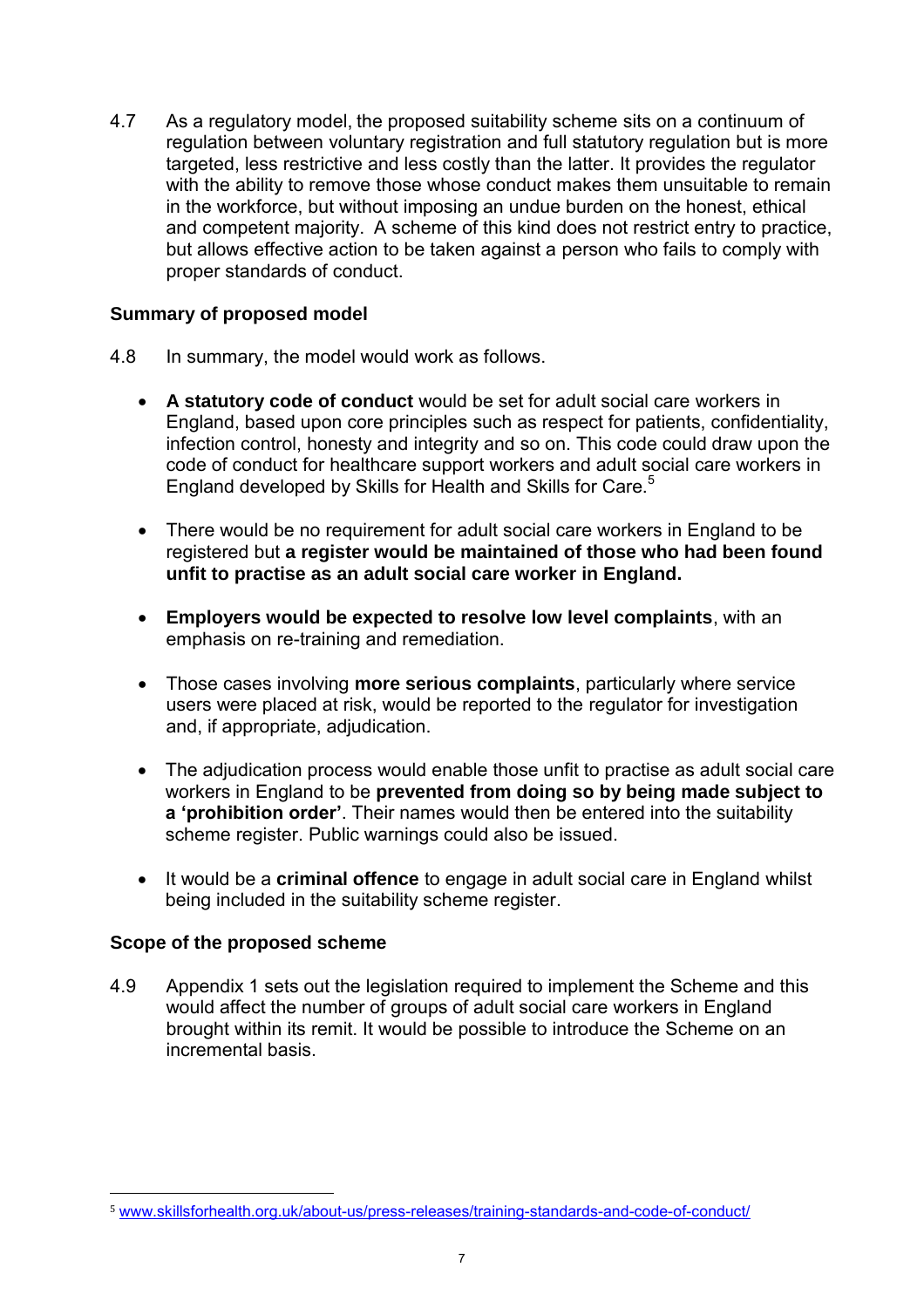4.7 As a regulatory model, the proposed suitability scheme sits on a continuum of regulation between voluntary registration and full statutory regulation but is more targeted, less restrictive and less costly than the latter. It provides the regulator with the ability to remove those whose conduct makes them unsuitable to remain in the workforce, but without imposing an undue burden on the honest, ethical and competent majority. A scheme of this kind does not restrict entry to practice, but allows effective action to be taken against a person who fails to comply with proper standards of conduct.

## **Summary of proposed model**

- 4.8 In summary, the model would work as follows.
	- **A statutory code of conduct** would be set for adult social care workers in England, based upon core principles such as respect for patients, confidentiality, infection control, honesty and integrity and so on. This code could draw upon the code of conduct for healthcare support workers and adult social care workers in England developed by Skills for Health and Skills for Care.<sup>5</sup>
	- There would be no requirement for adult social care workers in England to be registered but **a register would be maintained of those who had been found unfit to practise as an adult social care worker in England.**
	- **Employers would be expected to resolve low level complaints**, with an emphasis on re-training and remediation.
	- Those cases involving **more serious complaints**, particularly where service users were placed at risk, would be reported to the regulator for investigation and, if appropriate, adjudication.
	- The adjudication process would enable those unfit to practise as adult social care workers in England to be **prevented from doing so by being made subject to a 'prohibition order'**. Their names would then be entered into the suitability scheme register. Public warnings could also be issued.
	- It would be a **criminal offence** to engage in adult social care in England whilst being included in the suitability scheme register.

# **Scope of the proposed scheme**

 $\overline{a}$ 

4.9 Appendix 1 sets out the legislation required to implement the Scheme and this would affect the number of groups of adult social care workers in England brought within its remit. It would be possible to introduce the Scheme on an incremental basis.

<sup>5</sup> www.skillsforhealth.org.uk/about-us/press-releases/training-standards-and-code-of-conduct/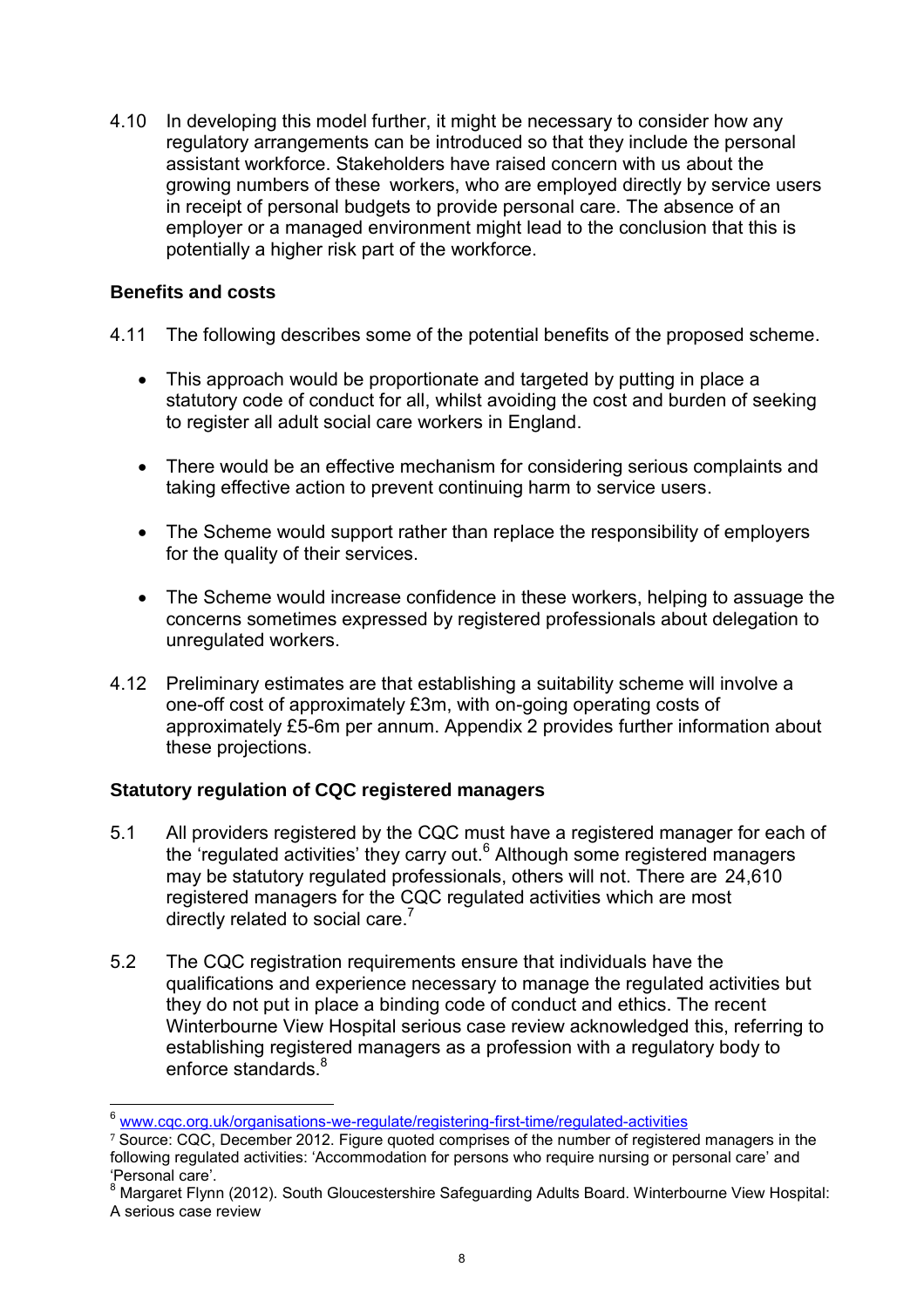4.10 In developing this model further, it might be necessary to consider how any regulatory arrangements can be introduced so that they include the personal assistant workforce. Stakeholders have raised concern with us about the growing numbers of these workers, who are employed directly by service users in receipt of personal budgets to provide personal care. The absence of an employer or a managed environment might lead to the conclusion that this is potentially a higher risk part of the workforce.

## **Benefits and costs**

- 4.11 The following describes some of the potential benefits of the proposed scheme.
	- This approach would be proportionate and targeted by putting in place a statutory code of conduct for all, whilst avoiding the cost and burden of seeking to register all adult social care workers in England.
	- There would be an effective mechanism for considering serious complaints and taking effective action to prevent continuing harm to service users.
	- The Scheme would support rather than replace the responsibility of employers for the quality of their services.
	- The Scheme would increase confidence in these workers, helping to assuage the concerns sometimes expressed by registered professionals about delegation to unregulated workers.
- 4.12 Preliminary estimates are that establishing a suitability scheme will involve a one-off cost of approximately £3m, with on-going operating costs of approximately £5-6m per annum. Appendix 2 provides further information about these projections.

# **Statutory regulation of CQC registered managers**

- 5.1 All providers registered by the CQC must have a registered manager for each of the 'regulated activities' they carry out.<sup>6</sup> Although some registered managers may be statutory regulated professionals, others will not. There are 24,610 registered managers for the CQC regulated activities which are most directly related to social care.<sup>7</sup>
- 5.2 The CQC registration requirements ensure that individuals have the qualifications and experience necessary to manage the regulated activities but they do not put in place a binding code of conduct and ethics. The recent Winterbourne View Hospital serious case review acknowledged this, referring to establishing registered managers as a profession with a regulatory body to enforce standards  $8<sup>8</sup>$

 $\overline{a}$ <sup>6</sup> www.cqc.org.uk/organisations-we-regulate/registering-first-time/regulated-activities

<sup>&</sup>lt;sup>7</sup> Source: CQC, December 2012. Figure quoted comprises of the number of registered managers in the following regulated activities: 'Accommodation for persons who require nursing or personal care' and 'Personal care'.

<sup>&</sup>lt;sup>8</sup> Margaret Flynn (2012). South Gloucestershire Safeguarding Adults Board. Winterbourne View Hospital: A serious case review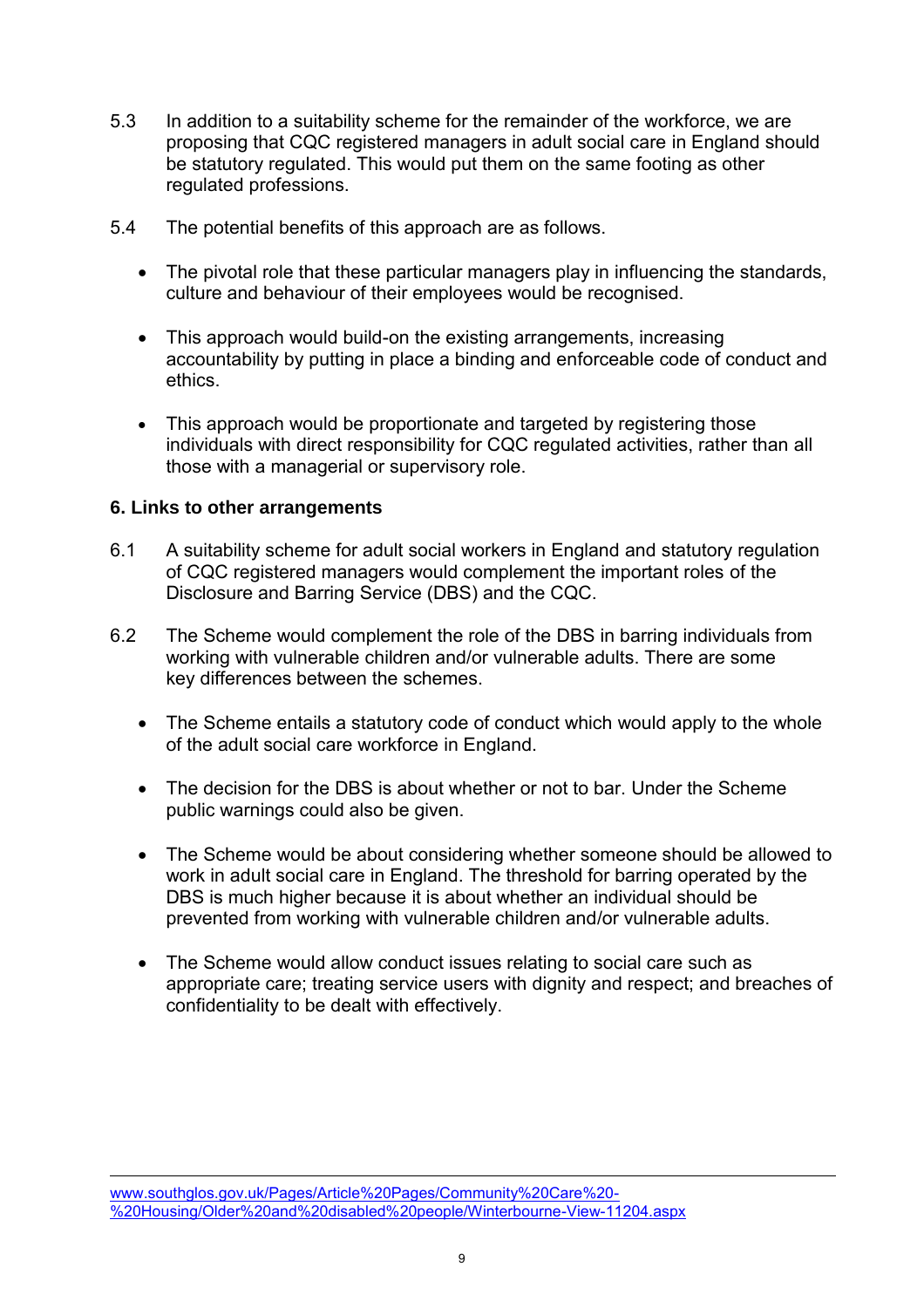- 5.3 In addition to a suitability scheme for the remainder of the workforce, we are proposing that CQC registered managers in adult social care in England should be statutory regulated. This would put them on the same footing as other regulated professions.
- 5.4 The potential benefits of this approach are as follows.
	- The pivotal role that these particular managers play in influencing the standards, culture and behaviour of their employees would be recognised.
	- This approach would build-on the existing arrangements, increasing accountability by putting in place a binding and enforceable code of conduct and ethics.
	- This approach would be proportionate and targeted by registering those individuals with direct responsibility for CQC regulated activities, rather than all those with a managerial or supervisory role.

### **6. Links to other arrangements**

 $\overline{a}$ 

- 6.1 A suitability scheme for adult social workers in England and statutory regulation of CQC registered managers would complement the important roles of the Disclosure and Barring Service (DBS) and the CQC.
- 6.2 The Scheme would complement the role of the DBS in barring individuals from working with vulnerable children and/or vulnerable adults. There are some key differences between the schemes.
	- The Scheme entails a statutory code of conduct which would apply to the whole of the adult social care workforce in England.
	- The decision for the DBS is about whether or not to bar. Under the Scheme public warnings could also be given.
	- The Scheme would be about considering whether someone should be allowed to work in adult social care in England. The threshold for barring operated by the DBS is much higher because it is about whether an individual should be prevented from working with vulnerable children and/or vulnerable adults.
	- The Scheme would allow conduct issues relating to social care such as appropriate care; treating service users with dignity and respect; and breaches of confidentiality to be dealt with effectively.

www.southglos.gov.uk/Pages/Article%20Pages/Community%20Care%20- %20Housing/Older%20and%20disabled%20people/Winterbourne-View-11204.aspx